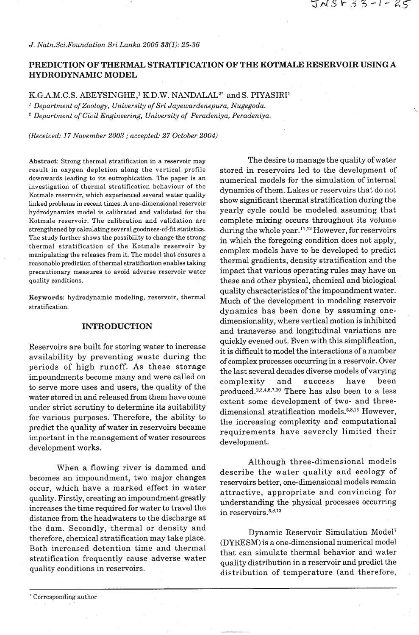*J. Natn.Sci.Foundation Sri Lanka 2005 33(1): 25-36* 

# **PREDICTION OF THERMAL STRATIFICATION OF THE KOTMALE RESERVOIR USING A HYDRODYNAMIC MODEL**

K.G.A.M.C.S. ABEYSINGHE,<sup>1</sup> K.D.W. NANDALAL<sup>2\*</sup> and S. PIYASIRI<sup>1</sup>

*Department of Zoology, University of Sri Jayewardenepura, Nugegoda. Department of Civil Engineering, University of Peradeniya, Peradeniya.* 

*(Received: 17 November 2003* ; *accepted: 27 October 2004)* 

Abstract: Strong thermal stratification in a reservoir may result in oxygen depletion along the vertical profile downwards leading to its eutrophication. The paper is an investigation of thermal stratification behaviour of the Kotmale reservoir, which experienced several water quality linked problems in recent times. **A** one-dimensional reservoir hydrodynamics model is calibrated and validated for the Kotmale reservoir. The calibration and validation are strengthened by calculating several goodness-of-fit statistics. The study further shows the possibility to change the strong thermal stratification of the Kotmale reservoir by manipulating the releases from it. The model that ensures a reasonable prediction of thermal stratification enables taking precautionary measures to avoid adverse reservoir water quality conditions.

Keywords: hydrodynamic modeling, reservoir, thermal stratification.

## **INTRODUCTION**

Impoundments become many and were called on<br>to serve more uses and users, the quality of the produced.<sup>2,3,4,6,7,10</sup> There has also been to a less<br>water stored in and released from them have come water stored in and released from them have come<br>under strict scrutiny to determine its suitability<br>for various purposes. Therefore, the ability to<br>predict the quality of water in reservoirs became<br>important in the managem

When a flowing river is dammed and becomes an impoundment, two major changes occur, which have a marked effect in water quality. Firstly, creating an impoundment greatly increases the time required for water to travel the distance from the headwaters to the discharge at the dam. Secondly, thermal or density and<br>therefore, chemical stratification may take place. (NVPESM) is a son dimensional numerical model therefore, chemical stratification may take place.<br>Both increased detention time and thermal<br>stratification frequently cause adverse water<br>exactly distribution in a magnusia and prodict that

The desire to manage the quality of water stored in reservoirs led to the development of numerical models for the simulation of internal dynamics of them. Lakes or reservoirs that do not show significant thermal stratification during the yearly cycle could be modeled assuming that complete mixing occurs throughout its volume during the whole year.<sup>11,12</sup> However, for reservoirs in which the foregoing condition does not apply, complex models have to be developed to predict thermal gradients, density stratification and the impact that various operating rules may have on these and other physical, chemical and biological quality characteristics of the impoundment water. Much of the development in modeling reservoir dynamics has been done by assuming onedimensionality, where vertical motion is inhibited and transverse and longitudinal variations are Reservoirs are built for storing water to increase<br>availability by preventing waste during the<br>periods of high runoff. As these storage<br>periods of high runoff. As these storage<br>the last several decades diverse models of va

> Although three-dimensional models describe the water quality and ecology of reservoirs better, one-dimensional models remain attractive, appropriate and convincing for understanding the physical processes occurring in reservoirs. $5,8,13$

stratification frequently cause adverse water quality distribution in a reservoir and predict the quality conditions in reservoirs.<br>distribution of temperature (and therefore,

<sup>&</sup>quot; Corresponding author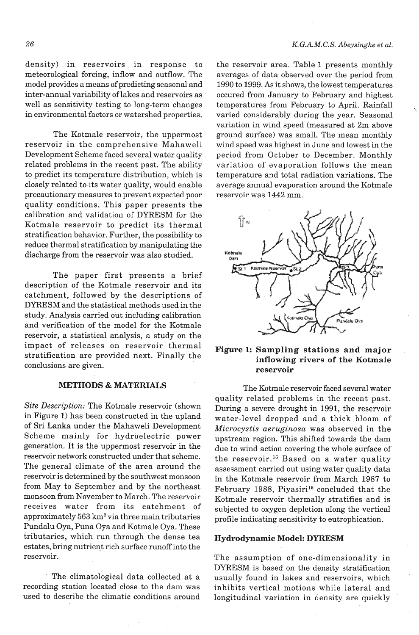density) in reservoirs in response to meteorological forcing, inflow and outflow. The model provides a means of predicting seasonal and inter-annual variability of lakes and reservoirs as well as sensitivity testing to long-term changes in environmental factors or watershed properties.

The Kotmale reservoir, the uppermost reservoir in the comprehensive Mahaweli Development Scheme faced several water quality related problems in the recent past. The ability to predict its temperature distribution, which is closely related to its water quality, would enable precautionary measures to prevent expected poor quality conditions. This paper presents the calibration and validation of DYRESM for the Kotmale reservoir to predict its thermal stratification behavior. Further, the possibility to reduce thermal stratification by manipulating the discharge from the reservoir was also studied.

The paper first presents a brief description of the Kotmale reservoir and its catchment, followed by the descriptions of DYRESM and the statistical methods used in the study. Analysis carried out including calibration and verification of the model for the Kotmale reservoir, a statistical analysis, a study on the impact of releases on reservoir thermal **Sampling stations and major** stratification are provided next. Finally the **inflowing rivers of the Kotmale**  conclusions are given. **reservoir reservoir** 

## **METHODS** & **MATERIALS**

Site Description: The Kotmale reservoir (shown in Figure 1) has been constructed in the upland of Sri Lanka under the Mahaweli Development Scheme mainly for hydroelectric power generation. It is the uppermost reservoir in the reservoir network constructed under that scheme. The general climate of the area around the reservoir is determined by the southwest monsoon from May to September and by the northeast monsoon from November to March. The reservoir receives water from its catchment of approximately 563 **krn2** via three main tributaries Pundalu Oya, Puna Oya and Kotmale Oya. These tributaries, which run through the dense tea estates, bring nutrient rich surface runoff into the reservoir.

The climatological data collected at a recording station located close to the dam was used to describe the climatic conditions around

the reservoir area. Table 1 presents monthly averages of data observed over the period from 1990 to 1999. **As** it shows, the lowest temperatures occured from January to February and highest temperatures from February to April. Rainfall varied considerably during the year. Seasonal variation in wind speed (measured at 2m above ground surface) was small. The mean monthly wind speed was highest in June and lowest in the period from October to December. Monthly variation of evaporation follows the mean temperature and total radiation variations. The average annual evaporation around the Kotmale reservoir was 1442 mm.



The Kotmale reservoir faced several water quality related problems in the recent past. During a severe drought in 1991, the reservoir water-level dropped and a thick bloom of Microcystis aeruginosa was observed in the upstream region. This shifted towards the dam due to wind action covering the whole surface of the reservoir.16 Based on a water quality assessment carried out using water quality data in the Kotmale reservoir from March 1987 to February 1988, Piyasiri<sup>15</sup> concluded that the Kotmale reservoir thermally stratifies and is subjected to oxygen depletion along the vertical profile indicating sensitivity to eutrophication.

## **Hydrodynamic Model: DYRESM**

The assumption of one-dimensionality in DYRESM is based on the density stratification usually found in lakes and reservoirs, which inhibits vertical motions while lateral and longitudinal variation in density are quickly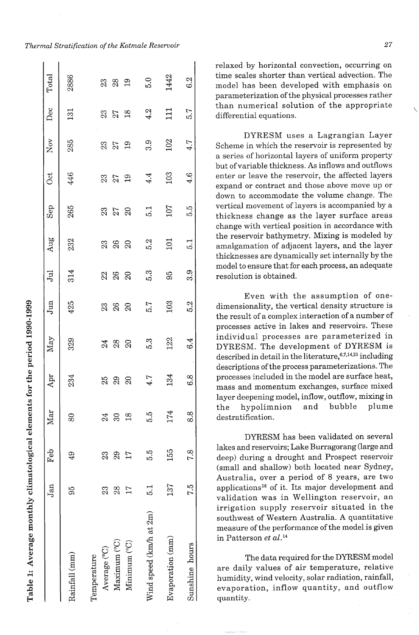|                         | Jan              | Feb           | Mar                         | Apr          | May             | Jun            | Jul | Aug              | Sep               | <b>Oct</b>     | Nov            | Dec            | Total |
|-------------------------|------------------|---------------|-----------------------------|--------------|-----------------|----------------|-----|------------------|-------------------|----------------|----------------|----------------|-------|
| Rainfall (mm)           | 56               | $\frac{1}{4}$ | 80                          | 234          | 329             | 425            | 314 | 232              | 265               | 446            | 285            | 131            | 2886  |
| Temperature             |                  |               |                             |              |                 |                |     |                  |                   |                |                |                |       |
| Average (°C)            | 23               | 23            | 24                          |              |                 |                |     |                  |                   |                |                |                |       |
| Maximum <sup>(°C)</sup> | 28               | 29            | $\mathcal{S}^{\mathcal{O}}$ | 25<br>29     | <b>24 29 29</b> | 33<br>38<br>20 |     | 23<br>26<br>20   | <b>358</b><br>258 | 23<br>27<br>19 | 33<br>27<br>19 | 23<br>27<br>18 | 33 g  |
| Minimum <sup>(°C)</sup> | 17               | 17            | $\frac{8}{10}$              | $\mathbb{S}$ |                 |                |     |                  |                   |                |                |                |       |
| Wind speed (km/h at 2m) | $\overline{5}$ . | 5.5           | 5.5                         | 4.7          | 5.3             | 5.7            | 5.3 | 5.2              | $\overline{5.1}$  | 4.4            | 3.9            | 4.2            | 5.0   |
| Evaporation (mm)        | 137              | 155           | 174                         | 134          | 122             | 103            | 95  | $\Xi$            | 107               | 103            | 102            | $\Xi$          | 1442  |
| Sunshine hours          | 7.5              | 7.8           | 8.8                         | 6.8          | 6.4             | 5.2            | 3.9 | $\overline{5}$ . | 5.5               | 4.6            | 4.7            | 5.7            | 6.2   |

Table 1: Average monthly climatological elements for the period 1990-1999

relaxed by horizontal convection, occurring on time scales shorter than vertical advection. The model has been developed with emphasis on parameterization of the physical processes rather than numerical solution of the appropriate differential equations.

DYRESM uses a Lagrangian Layer Scheme in which the reservoir is represented by a series of horizontal layers of uniform property but of variable thickness. As inflows and outflows enter or leave the reservoir, the affected layers expand or contract and those above move up or down to accommodate the volume change. The vertical movement of layers is accompanied by a thickness change as the layer surface areas change with vertical position in accordance with the reservoir bathymetry. Mixing is modeled by amalgamation of adjacent layers, and the layer thicknesses are dynamically set internally by the model to ensure that for each process, an adequate resolution is obtained.

Even with the assumption of onedimensionality, the vertical density structure is the result of a complex interaction of a number of processes active in lakes and reservoirs. These individual processes are parameterized in DYRESM. The development of DYRESM is described in detail in the literature,  $6,7,14,21$  including descriptions of the process parameterizations. The processes included in the model are surface heat, mass and momentum exchanges, surface mixed layer deepening model, inflow, outflow, mixing in the hypolimnion and bubble plume destratification.

DYRESM has been validated on several lakes and reservoirs; Lake Burragorang (large and deep) during a drought and Prospect reservoir (small and shallow) both located near Sydney, Australia, over a period of 8 years, are two applications18 of it. Its major development and validation was in Wellington reservoir, an irrigation supply reservoir situated in the southwest of Western Australia. A quantitative measure of the performance of the model is given in Patterson *et al.*<sup>14</sup>

The data required for the DYRESM model are daily values of air temperature, relative humidity, wind velocity, solar radiation, rainfall, evaporation, inflow quantity, and outflow quantity.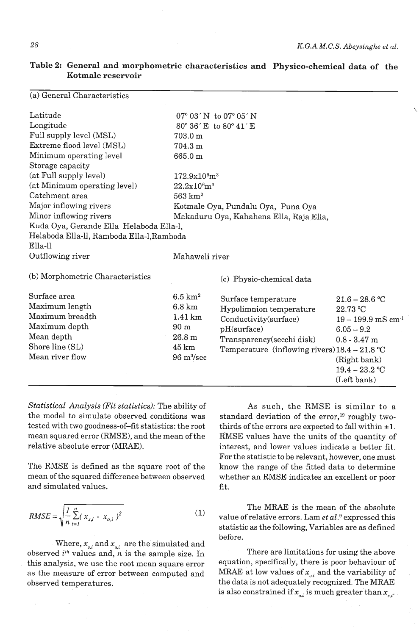**Table 2: General and morphometric characteristics and Physico-chemical data of the Kotmale reservoir** 

| (a) General Characteristics               |                                      |                                                                 |                                  |
|-------------------------------------------|--------------------------------------|-----------------------------------------------------------------|----------------------------------|
| Latitude                                  |                                      | $07^{\circ}$ 03 $^{\prime}$ N to 07 $^{\circ}$ 05 $^{\prime}$ N |                                  |
| Longitude                                 |                                      | 80° 36' E to 80° 41' E                                          |                                  |
| Full supply level (MSL)                   | $703.0 \text{ m}$                    |                                                                 |                                  |
| Extreme flood level (MSL)                 | 704.3 m                              |                                                                 |                                  |
| Minimum operating level                   | 665.0 m                              |                                                                 |                                  |
| Storage capacity                          |                                      |                                                                 |                                  |
| (at Full supply level)                    | 172.9x10 <sup>6</sup> m <sup>3</sup> |                                                                 |                                  |
| (at Minimum operating level)              | 22.2x10 <sup>6</sup> m <sup>3</sup>  |                                                                 |                                  |
| Catchment area                            | $563 \mathrm{~km^2}$                 |                                                                 |                                  |
| Major inflowing rivers                    |                                      | Kotmale Oya, Pundalu Oya, Puna Oya                              |                                  |
| Minor inflowing rivers                    |                                      | Makaduru Oya, Kahahena Ella, Raja Ella,                         |                                  |
| Kuda Oya, Gerande Ella Helaboda Ella-l,   |                                      |                                                                 |                                  |
| Helaboda Ella-ll, Ramboda Ella-l, Ramboda |                                      |                                                                 |                                  |
| Ella-ll                                   |                                      |                                                                 |                                  |
| Outflowing river                          | Mahaweli river                       |                                                                 |                                  |
| (b) Morphometric Characteristics          |                                      | (c) Physio-chemical data                                        |                                  |
| Surface area                              | $6.5~{\rm km}^2$                     | Surface temperature                                             | $21.6 - 28.6$ °C                 |
| Maximum length                            | $6.8 \mathrm{km}$                    | Hypolimnion temperature                                         | 22.73 °C                         |
| Maximum breadth                           | $1.41 \mathrm{km}$                   | Conductivity(surface)                                           | $19 - 199.9$ mS cm <sup>-1</sup> |
| Maximum depth                             | 90 <sub>m</sub>                      | pH(surface)                                                     | $6.05 - 9.2$                     |
| Mean depth                                | 26.8 <sub>m</sub>                    | Transparency(secchi disk)                                       | $0.8 - 3.47$ m                   |
| Shore line (SL)                           | $45 \mathrm{km}$                     | Temperature (inflowing rivers) $18.4 - 21.8$ °C                 |                                  |
| Mean river flow                           | $96 \text{ m}^3/\text{sec}$          |                                                                 | (Right bank)                     |
|                                           |                                      |                                                                 | $19.4 - 23.2$ °C                 |
|                                           |                                      |                                                                 | (Left bank)                      |

*Statistical Analysis (Fit statistics):* The ability of the model to simulate observed conditions was tested with two goodness-of-fit statistics: the root mean squared error (RMSE), and the mean of the relative absolute error (MRAE).

The RMSE is defined as the square root of the mean of the squared difference between observed and simulated values.

$$
RMSE = \sqrt{\frac{I}{n} \sum_{i=1}^{n} (x_{s,i} - x_{o,i})^2}
$$
 (1)

Where,  $x_{s,i}$  and  $x_{o,i}$  are the simulated and

As such, the RMSE is similar to a standard deviation of the error,<sup>19</sup> roughly twothirds of the errors are expected to fall within  $\pm 1$ . RMSE values have the units of the quantity of interest, and lower values indicate a better fit. For the statistic to be relevant, however, one must know the range of the fitted data to determine whether an RMSE indicates an excellent or poor fit.

The MRAE is the mean of the absolute value of relative errors. Lam *et al.9* expressed this statistic as the following, Variables are as defined before.

observed  $i<sup>th</sup>$  values and, n is the sample size. In There are limitations for using the above this analysis, we use the root mean square error equation, specifically, there is poor behaviour of as the measure of error between computed and MRAE at low values of  $x_{o,i}$  and the variability of observed temperatures. the data is not adequately recognized. The MRAE is also constrained if  $x_{o,i}$  is much greater than  $x_{s,i}$ .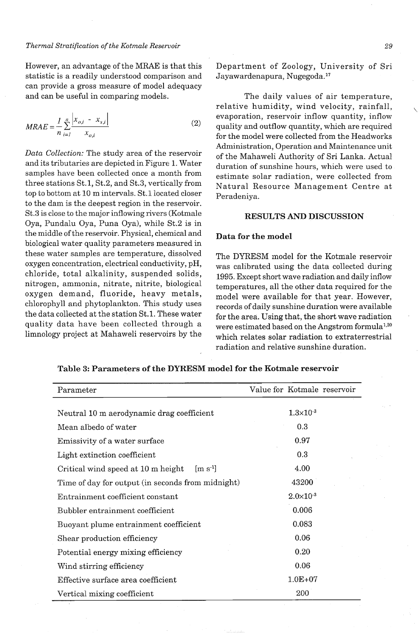However, an advantage of the MRAE is that this statistic is a readily understood comparison and can provide a gross measure of model adequacy and can be useful in comparing models.

$$
MRAE = \frac{1}{n} \sum_{i=1}^{n} \frac{\left| x_{o,i} - x_{s,i} \right|}{x_{o,i}}
$$
 (2)

*Data Collection:* The study area of the reservoir and its tributaries are depicted in Figure 1. Water samples have been collected once a month from three stations St.1, St.2, and St.3, vertically from top to bottom at 10 m intervals. St.1 located closer to the dam is the deepest region in the reservoir. St.3 is close to the major inflowing rivers (Kotmale Oya, Pundalu Oya, Puna Oya), while St.2 is in the middle of the reservoir. Physical, chemical and biological water quality parameters measured in these water samples are temperature, dissolved oxygen concentration, electrical conductivity, pH, chloride, total alkalinity, suspended solids, nitrogen, ammonia, nitrate, nitrite, biological oxygen demand, fluoride, heavy metals, chlorophyll and phytoplankton. This study uses the data collected at the station St.1. These water quality data have been collected through a limnology project at Mahaweli reservoirs by the Department of Zoology, University of Sri Jayawardenapura, Nugegoda.17

The daily values of air temperature, relative humidity, wind velocity, rainfall, evaporation, reservoir inflow quantity, inflow quality and outflow quantity, which are required for the model were collected from the Headworks Administration, Operation and Maintenance unit of the Mahaweli Authority of Sri Lanka. Actual duration of sunshine hours, which were used to estimate solar radiation, were collected from Natural Resource Management Centre at Peradeniya.

#### **RESULTS AND DISCUSSION**

#### **Data for the model**

The DYRESM model for the Kotmale reservoir was calibrated using the data collected during 1995. Except short wave radiation and daily inflow temperatures, all the other data required for the model were available for that year. However, records of daily sunshine duration were available for the area. Using that, the short wave radiation were estimated based on the Angstrom formula<sup>1,20</sup> which relates solar radiation to extraterrestrial radiation and relative sunshine duration.

**Table 3: Parameters of the DYRESM model for the Kotmale reservoir** 

| Parameter                                                        | Value for Kotmale reservoir |
|------------------------------------------------------------------|-----------------------------|
|                                                                  |                             |
| Neutral 10 m aerodynamic drag coefficient                        | $1.3 \times 10^{-3}$        |
| Mean albedo of water                                             | 0.3                         |
| Emissivity of a water surface                                    | 0.97                        |
| Light extinction coefficient                                     | 0.3                         |
| Critical wind speed at 10 m height<br>$\lfloor m s^{-1} \rfloor$ | 4.00                        |
| Time of day for output (in seconds from midnight)                | 43200                       |
| Entrainment coefficient constant                                 | $2.0 \times 10^{-3}$        |
| Bubbler entrainment coefficient                                  | 0.006                       |
| Buoyant plume entrainment coefficient                            | 0.083                       |
| Shear production efficiency                                      | 0.06                        |
| Potential energy mixing efficiency                               | 0.20                        |
| Wind stirring efficiency                                         | 0.06                        |
| Effective surface area coefficient                               | $1.0E + 07$                 |
| Vertical mixing coefficient                                      | 200                         |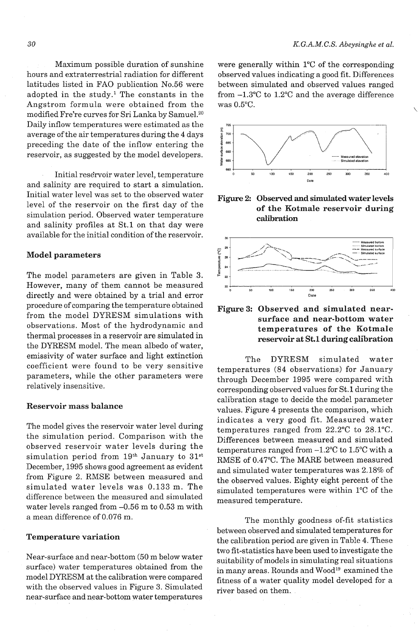Maximum possible duration of sunshine hours and extraterrestrial radiation for different latitudes listed in FA0 publication No.56 were adopted in the study.<sup>1</sup> The constants in the Angstrom formula were obtained from the modified Fre're curves for Sri Lanka by Samuel.20 Daily inflow temperatures were estimated as the average of the air temperatures during the 4 days preceding the date of the inflow entering the reservoir, as suggested by the model developers.

Initial reservoir water level, temperature and salinity are required to start a simulation. Initial water level was set to the observed water level of the reservoir on the first day of the simulation period. Observed water temperature and salinity profiles at St.1 on that day were available for the initial condition of the reservoir.

## **Model parameters**

The model parameters are given in Table 3. However, many of them cannot be measured directly and were obtained by a trial and error procedure of comparing the temperature obtained from the model DYRESM simulations with observations. Most of the hydrodynamic and thermal processes in a reservoir are simulated in the DYRESM model. The mean albedo of water, emissivity of water surface and light extinction coefficient were found to be very sensitive parameters, while the other parameters were relatively insensitive.

## **Reservoir mass balance**

The model gives the reservoir water level during the simulation period. Comparison with the observed reservoir water levels during the simulation period from  $19<sup>th</sup>$  January to  $31<sup>st</sup>$ December, 1995 shows good agreement as evident from Figure 2. RMSE between measured and simulated water levels was 0.133 m. The difference between the measured and simulated water levels ranged from -0.56 m to 0.53 m with a mean difference of 0.076 m.

## **Temperature variation**

Near-surface and near-bottom (50 m below water surface) water temperatures obtained from the model DYRESM at the calibration were compared with the observed values in Figure **3.** Simulated near-surface and near-bottom water temperatures

were generally within 1°C of the corresponding observed values indicating a good fit. Differences between simulated and observed values ranged from **-1.3"C** to 1.2"C and the average difference was  $0.5$ °C.



**Figure 2: Observed and simulated water levels of the Kotmale reservoir during calibration** 



# **Figure 3: Observed and simulated nearsurface and near-bottom water temperatures of the Kotmale reservoir at St.1 during calibration**

The DYRESM simulated water temperatures (84 observations) for January through December 1995 were compared with corresponding observed values for St.1 during the calibration stage to decide the model parameter values. Figure 4 presents the comparison, which indicates a very good fit. Measured water temperatures ranged from 22.2"C to 28.1°C. Differences between measured and simulated temperatures ranged from -1.2"C to 1.5"C with a RMSE of 0.47"C. The MARE between measured and simulated water temperatures was 2.18% of the observed values. Eighty eight percent of the simulated temperatures were within 1°C of the measured temperature.

The monthly goodness of-fit statistics between observed and simulated temperatures for the calibration period are given in Table 4. These two fit-statistics have been used to investigate the suitability of models in simulating real situations in many areas. Rounds and Wood<sup>19</sup> examined the fitness of a water quality model developed for a river based on them.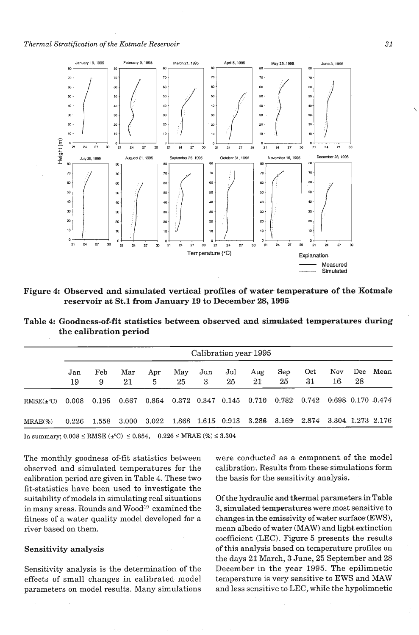

**Figure 4: Observed and simulated vertical profiles of water temperature of the Kotmale reservoir at St.1 from January 19 to December 28,1995** 

**Table 4: Goodness-of-fit statistics between observed and simulated temperatures during the calibration period** 

|                       |           |          |           |           |                         |           |                       | Calibration year 1995   |            |                         |                         |           |      |
|-----------------------|-----------|----------|-----------|-----------|-------------------------|-----------|-----------------------|-------------------------|------------|-------------------------|-------------------------|-----------|------|
|                       | Jan<br>19 | Feb<br>9 | Mar<br>21 | Apr<br>5  | May<br>25               | Jun<br>3. | $_{\text{Jul}}$<br>25 | Aug<br>21               | Sep-<br>25 | Oct<br>31               | Nov.<br>16              | Dec<br>28 | Mean |
| $RMSE(\pm ^{\circ}C)$ | 0.008     | 0.195    | 0.667     | 0.854     | $0.372$ $0.347$ $0.145$ |           |                       | 0.710                   | 0.782      | 0.742                   | $0.698$ $0.170$ $0.474$ |           |      |
| $MRAE(\%)$            | 0.226     | 1.558    | 3.000     | $3.022\,$ | $1.868\,$               |           |                       | 1.615 0.913 3.286 3.169 |            | 2.874 3.304 1.273 2.176 |                         |           |      |

In summary;  $0.008$  ≤ RMSE (±°C) ≤ 0.854, 0.226 ≤ MRAE (%) ≤ 3.304

The monthly goodness of-fit statistics between observed and simulated temperatures for the calibration period are given in Table 4. These two fit-statistics have been used to investigate the suitability of models in simulating real situations in many areas. Rounds and Wood<sup>19</sup> examined the fitness of a water quality model developed for a river based on them.

## **Sensitivity analysis**

Sensitivity analysis is the determination of the effects of small changes in calibrated model parameters on model results. Many simulations

were conducted as a component of the model calibration. Results from these simulations form the basis for the sensitivity analysis.

Of the hydraulic and thermal parameters in Table 3, simulated temperatures were most sensitive to changes in the emissivity of water surface (EWS), mean albedo of water (MAW) and light extinction coefficient (LEC). Figure 5 presents the results of this analysis based on temperature profiles on the days 21 March, 3 June, 25 September and 28 December in the year 1995. The epilimnetic temperature is very sensitive to EWS and MAW and less sensitive to LEC, while the hypolimnetic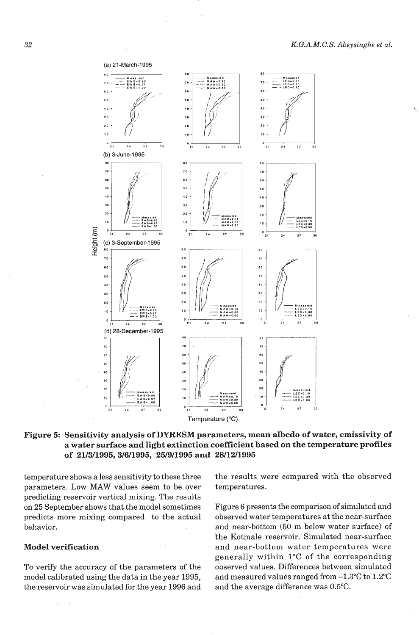

# **Figure 5: Sensitivity analysis of DYRESM parameters, mean albedo of water, emissivity of a water surface and light extinction coefficient based on the temperature profiles of 21/3/1995,3/6/1995, 25/9/1995 and 28/12/1995**

temperature shows a less sensitivity to these three parameters. Low MAW values seem to be over predicting reservoir vertical mixing. The results on 25 September shows that the model sometimes predicts more mixing compared to the actual behavior.

# **Model verification**

To verify the accuracy of the parameters of the model calibrated using the data in the year 1995, the reservoir was simulated for the year 1996 and the results were compared with the observed temperatures.

Figure 6 presents the comparison of simulated and observed water temperatures at the near-surface and near-bottom (50 m below water surface) of the Kotmale reservoir. Simulated near-surface and near-bottom water temperatures were generally within 1°C of the corresponding observed values. Differences between simulated and measured values ranged from -1.3"C to 1.2"C and the average difference was *0.5"C.*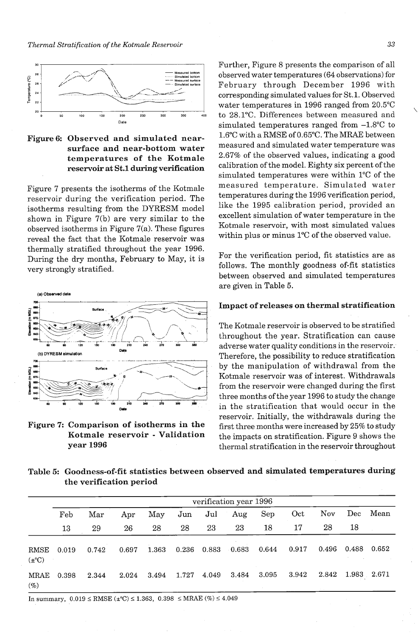*Thermal Stratification of the Kotmale Reservoir* 





Figure 7 presents the isotherms of the Kotmale reservoir during the verification period. The isotherms resulting from the DYRESM model shown in Figure 7(b) are very similar to the observed isotherms in Figure  $7(a)$ . These figures reveal the fact that the Kotmale reservoir was thermally stratified throughout the year 1996. During the dry months, February to May, it is very strongly stratified.



Further, Figure 8 presents the comparison of all observed water temperatures (64 observations) for February through December 1996 with corresponding simulated values for St. **1.** Observed water temperatures in 1996 ranged from 20.5"C to 28.1°C. Differences between measured and simulated temperatures ranged from  $-1.8$ °C to 1.6"C with a RMSE of 0.65"C. The MRAE between measured and simulated water temperature was 2.67% of the observed values, indicating a good calibration of the model. Eighty six percent of the simulated temperatures were within 1°C of the measured temperature. Simulated water temperatures during the 1996 verification period, like the 1995 calibration period, provided an excellent simulation of water temperature in the Kotmale reservoir, with most simulated values within plus or minus 1°C of the observed value.

For the verification period, fit statistics are as follows. The monthly goodness of-fit statistics between observed and simulated temperatures are given in Table 5.

## **Impact of releases on thermal stratification**

The Kotmale reservoir is observed to be stratified throughout the year. Stratification can cause adverse water quality conditions in the reservoir. by the manipulation of withdrawal from the Kotmale reservoir was of interest. Withdrawals from the reservoir were changed during the first three months of the year 1996 to study the change **ma** in the stratification that would occur in the reservoir. Initially, the withdrawals during the **Figure 7: Comparison of isotherms in the first three months were increased by 25% to study**<br>**Kotmale reservoir - Validation the impacts on stratification**. Figure 9 shows the **Kotmale reservoir - Validation** the impacts on stratification. Figure 9 shows the year 1996 **year 1996** thermal stratification in the reservoir throughout

**Table 5: Goodness-of-fit statistics between observed and simulated temperatures during the verification period** 

|                    |       |       |       |       |       |       | verification year 1996 |       |       |       |             |       |
|--------------------|-------|-------|-------|-------|-------|-------|------------------------|-------|-------|-------|-------------|-------|
|                    | Feb   | Mar   | Apr   | May   | Jun   | Jul   | Aug                    | Sep   | Oct   | Nov   | Dec         | Mean  |
|                    | 13    | 29    | 26    | 28    | 28    | 23    | 23                     | 18    | 17    | 28    | 18          |       |
| RMSE<br>$(\pm$ °C) | 0.019 | 0.742 | 0.697 | 1.363 | 0.236 | 0.883 | 0.683                  | 0.644 | 0.917 | 0.496 | 0.488       | 0.652 |
| MRAE<br>$(\%)$     | 0.398 | 2.344 | 2.024 | 3.494 | 1.727 | 4.049 | 3.484                  | 3.095 | 3.942 | 2.842 | 1.983 2.671 |       |

In summary,  $0.019 \leq RMSE (\pm C) \leq 1.363$ ,  $0.398 \leq MRAE (\%) \leq 4.049$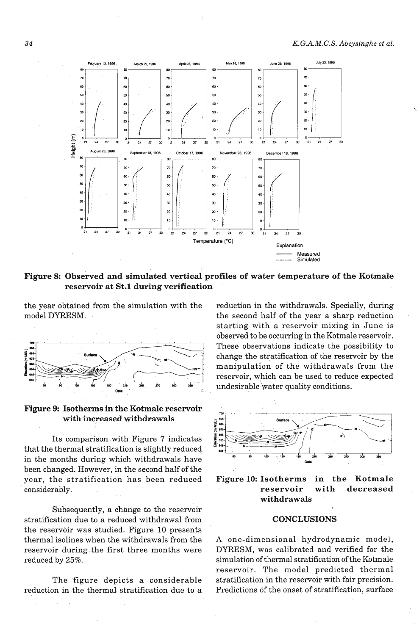

# Figure 8: Observed and simulated vertical profiles of water temperature of the Kotmale reservoir at St.1 during verification

the year obtained from the simulation with the model DYRESM.



Figure 9: Isotherms in the Kotmale reservoir with increased withdrawals

Its comparison with Figure 7 indicates that the thermal stratification is slightly reduced in the months during which withdrawals have been changed. However, in the second half of the year, the stratification has been reduced considerably.

Subsequently, a change to the reservoir stratification due to a reduced withdrawal from the reservoir was studied. Figure 10 presents thermal isolines when the withdrawals from the reservoir during the first three months were reduced by 25%.

The figure depicts a considerable reduction in the thermal stratification due to a reduction in the withdrawals. Specially, during the second half of the year a sharp reduction starting with a reservoir mixing in June is observed to be occurring in the Kotmale reservoir. These observations indicate the possibility to change the stratification of the reservoir by the manipulation of the withdrawals from the reservoir, which can be used to reduce expected undesirable water quality conditions.





## **CONCLUSIONS**

A one-dimensional hydrodynamic model, DYRESM, was calibrated and verified for the simulation of thermal stratification of the Kotmale reservoir. The model predicted thermal stratification in the reservoir with fair precision. Predictions of the onset of stratification, surface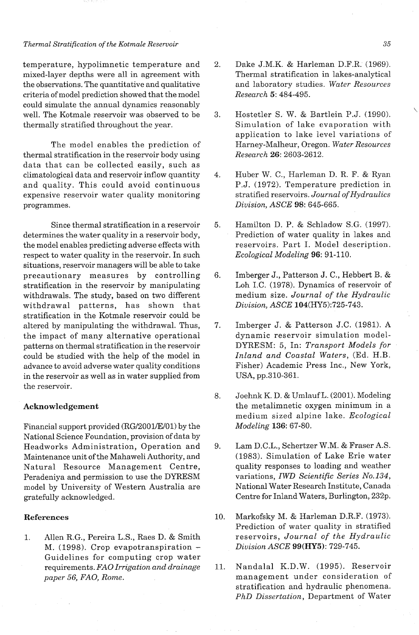## *Thermal Stratification of the Kotmale Reservoir*

temperature, hypolimnetic temperature and mixed-layer depths were all in agreement with the observations. The quantitative and qualitative criteria of model prediction showed that the model could simulate the annual dynamics reasonably well. The Kotmale reservoir was observed to be thermally stratified throughout the year.

The model enables the prediction of thermal stratification in the reservoir body using data that can be collected easily, such as climatological data and reservoir inflow quantity and quality. This could avoid continuous expensive reservoir water quality monitoring programmes.

Since thermal stratification in a reservoir determines the water quality in a reservoir body, the model enables predicting adverse effects with respect to water quality in the reservoir. In such situations, reservoir managers will be able to take precautionary measures by controlling stratification in the reservoir by manipulating withdrawals. The study, based on two different withdrawal patterns, has shown that stratification in the Kotmale reservoir could be altered by manipulating the withdrawal. Thus, the impact of many alternative operational patterns on thermal stratification in the reservoir could be studied with the help of the model in advance to avoid adverse water quality conditions in the reservoir as well as in water supplied from the reservoir.

## **Acknowledgement**

Financial support provided (RG/2001/E/01) by the National Science Foundation, provision of data by Headworks Administration, Operation and Maintenance unit of the Mahaweli Authority, and Natural Resource Management Centre, Peradeniya and permission to use the DYRESM model by University of Western Australia are gratefully acknowledged.

# **References**

1. Allen R.G., Pereira L.S., Raes D. & Smith M. (1998). Crop evapotranspiration - Guidelines for computing crop water requirements. *FA0 Irrigation and drainage paper 56, FAO, Rome.* 

- $\overline{2}$ . Dake J.M.K. & Harleman D.F.R. (1969). Thermal stratification in lakes-analytical and laboratory studies. *Water Resources Research 5:* 484-495.
- Hostetler S. W. & Bartlein P.J. (1990). \ 3. Simulation of lake evaporation with application to lake level variations of Harney-Malheur, Oregon. *Water Resources Research* 26: 2603-2612.
- Huber W. C., Harleman D. R. F. & Ryan  $4.$ P.J. (1972). Temperature prediction in stratified reservoirs. *Journal of Hydraulics Division, ASCE* 98: 645-665.
- 5. Hamilton D. P. & Schladow S.G. (1997). Prediction of water quality in lakes and reservoirs. Part I. Model description. *Ecological Modeling* 96: 91-110.
- Imberger J., Patterson J. C., Hebbert B. &  $6.$ Loh I.C. (1978). Dynamics of reservoir of medium size. *Journal of the Hydraulic Division, ASCE* 104(HY5):725-743.
- 7. Imberger J. & Patterson J.C. (1981). A dynamic reservoir simulation model-DYRESM: 5, In: *Transport Models for Inland and Coastal Waters,* (Ed. H.B. Fisher) Academic Press Inc., New York, USA, pp.310-361.
- 8. Joehnk K. D. & Umlauf L. (2001). Modeling the metalimnetic oxygen minimum in a medium sized alpine lake. *Ecological Modeling* 136: 67-80.
- Lam D.C.L., Schertzer W.M. & Fraser A.S. 9. (1983). Simulation of Lake Erie water quality responses to loading and weather variations, *IWD Scientific Series No.134,*  National Water Research Institute, Canada Centre for Inland Waters, Burlington, 232p.
- Markofsky M. & Harleman D.R.F. (1973).  $10.$ Prediction of water quality in stratified reservoirs, *Journal of the Hydraulic Division ASCE* **99(HY5):** 729-745.
- Nandalal K.D.W. (1995). Reservoir 11. management under consideration of stratification and hydraulic phenomena. *PhD Dissertation,* Department of Water